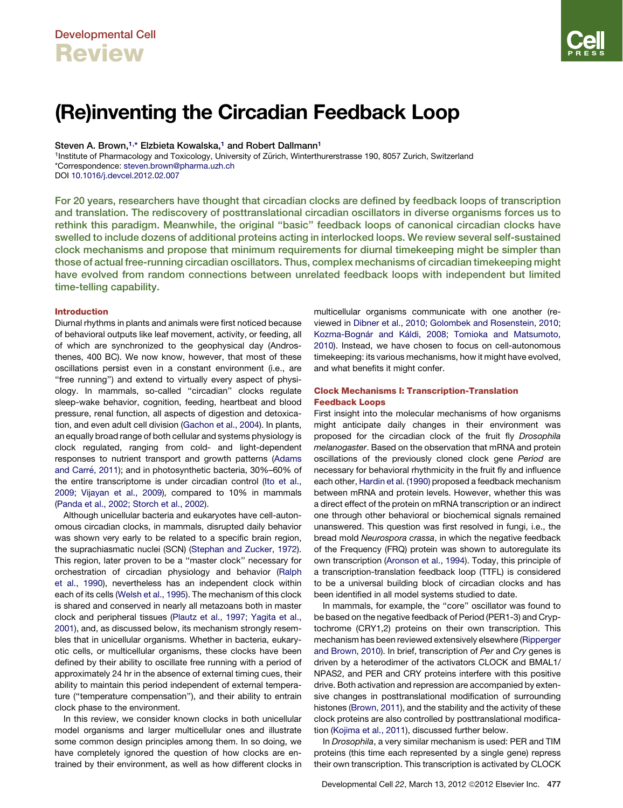# (Re)inventing the Circadian Feedback Loop

Steven A. Brown,<sup>1,\*</sup> Elzbieta Kowalska,<sup>1</sup> and Robert Dallmann<sup>1</sup>

<sup>1</sup>Institute of Pharmacology and Toxicology, University of Zürich, Winterthurerstrasse 190, 8057 Zurich, Switzerland \*Correspondence: [steven.brown@pharma.uzh.ch](mailto:steven.brown@pharma.uzh.ch) DOI [10.1016/j.devcel.2012.02.007](http://dx.doi.org/10.1016/j.devcel.2012.02.007)

For 20 years, researchers have thought that circadian clocks are defined by feedback loops of transcription and translation. The rediscovery of posttranslational circadian oscillators in diverse organisms forces us to rethink this paradigm. Meanwhile, the original ''basic'' feedback loops of canonical circadian clocks have swelled to include dozens of additional proteins acting in interlocked loops. We review several self-sustained clock mechanisms and propose that minimum requirements for diurnal timekeeping might be simpler than those of actual free-running circadian oscillators. Thus, complex mechanisms of circadian timekeeping might have evolved from random connections between unrelated feedback loops with independent but limited time-telling capability.

### Introduction

Diurnal rhythms in plants and animals were first noticed because of behavioral outputs like leaf movement, activity, or feeding, all of which are synchronized to the geophysical day (Androsthenes, 400 BC). We now know, however, that most of these oscillations persist even in a constant environment (i.e., are ''free running'') and extend to virtually every aspect of physiology. In mammals, so-called ''circadian'' clocks regulate sleep-wake behavior, cognition, feeding, heartbeat and blood pressure, renal function, all aspects of digestion and detoxication, and even adult cell division [\(Gachon et al., 2004\)](#page-7-0). In plants, an equally broad range of both cellular and systems physiology is clock regulated, ranging from cold- and light-dependent responses to nutrient transport and growth patterns ([Adams](#page-6-0) and Carré, 2011); and in photosynthetic bacteria, 30%–60% of the entire transcriptome is under circadian control [\(Ito et al.,](#page-8-0) [2009; Vijayan et al., 2009\)](#page-8-0), compared to 10% in mammals [\(Panda et al., 2002; Storch et al., 2002\)](#page-8-0).

Although unicellular bacteria and eukaryotes have cell-autonomous circadian clocks, in mammals, disrupted daily behavior was shown very early to be related to a specific brain region, the suprachiasmatic nuclei (SCN) [\(Stephan and Zucker, 1972\)](#page-9-0). This region, later proven to be a ''master clock'' necessary for orchestration of circadian physiology and behavior [\(Ralph](#page-9-0) [et al., 1990](#page-9-0)), nevertheless has an independent clock within each of its cells [\(Welsh et al., 1995\)](#page-9-0). The mechanism of this clock is shared and conserved in nearly all metazoans both in master clock and peripheral tissues [\(Plautz et al., 1997; Yagita et al.,](#page-9-0) [2001\)](#page-9-0), and, as discussed below, its mechanism strongly resembles that in unicellular organisms. Whether in bacteria, eukaryotic cells, or multicellular organisms, these clocks have been defined by their ability to oscillate free running with a period of approximately 24 hr in the absence of external timing cues, their ability to maintain this period independent of external temperature (''temperature compensation''), and their ability to entrain clock phase to the environment.

In this review, we consider known clocks in both unicellular model organisms and larger multicellular ones and illustrate some common design principles among them. In so doing, we have completely ignored the question of how clocks are entrained by their environment, as well as how different clocks in multicellular organisms communicate with one another (reviewed in [Dibner et al., 2010; Golombek and Rosenstein, 2010;](#page-7-0) Kozma-Bognár and Ká[ldi, 2008; Tomioka and Matsumoto,](#page-7-0) [2010\)](#page-7-0). Instead, we have chosen to focus on cell-autonomous timekeeping: its various mechanisms, how it might have evolved, and what benefits it might confer.

### Clock Mechanisms I: Transcription-Translation Feedback Loops

First insight into the molecular mechanisms of how organisms might anticipate daily changes in their environment was proposed for the circadian clock of the fruit fly *Drosophila melanogaster*. Based on the observation that mRNA and protein oscillations of the previously cloned clock gene *Period* are necessary for behavioral rhythmicity in the fruit fly and influence each other, [Hardin et al. \(1990\)](#page-7-0) proposed a feedback mechanism between mRNA and protein levels. However, whether this was a direct effect of the protein on mRNA transcription or an indirect one through other behavioral or biochemical signals remained unanswered. This question was first resolved in fungi, i.e., the bread mold *Neurospora crassa*, in which the negative feedback of the Frequency (FRQ) protein was shown to autoregulate its own transcription [\(Aronson et al., 1994](#page-6-0)). Today, this principle of a transcription-translation feedback loop (TTFL) is considered to be a universal building block of circadian clocks and has been identified in all model systems studied to date.

In mammals, for example, the ''core'' oscillator was found to be based on the negative feedback of Period (PER1-3) and Cryptochrome (CRY1,2) proteins on their own transcription. This mechanism has been reviewed extensively elsewhere ([Ripperger](#page-9-0) [and Brown, 2010\)](#page-9-0). In brief, transcription of *Per* and *Cry* genes is driven by a heterodimer of the activators CLOCK and BMAL1/ NPAS2, and PER and CRY proteins interfere with this positive drive. Both activation and repression are accompanied by extensive changes in posttranslational modification of surrounding histones ([Brown, 2011\)](#page-6-0), and the stability and the activity of these clock proteins are also controlled by posttranslational modification (Kojima [et al., 2011\)](#page-8-0), discussed further below.

In *Drosophila*, a very similar mechanism is used: PER and TIM proteins (this time each represented by a single gene) repress their own transcription. This transcription is activated by CLOCK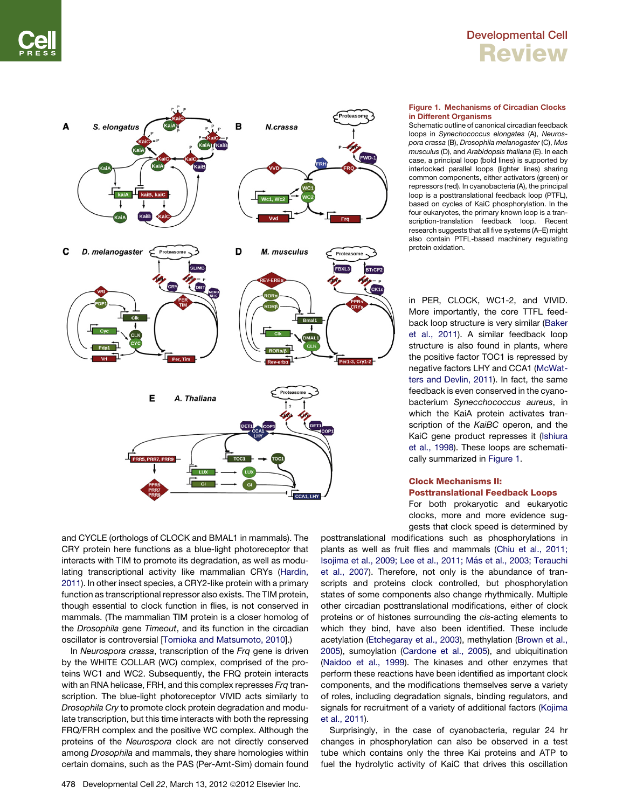<span id="page-1-0"></span>

### Figure 1. Mechanisms of Circadian Clocks in Different Organisms

Schematic outline of canonical circadian feedback loops in *Synechococcus elongates* (A), *Neurospora crassa* (B), *Drosophila melanogaster* (C), *Mus musculus* (D), and *Arabidopsis thaliana* (E). In each case, a principal loop (bold lines) is supported by interlocked parallel loops (lighter lines) sharing common components, either activators (green) or repressors (red). In cyanobacteria (A), the principal loop is a posttranslational feedback loop (PTFL), based on cycles of KaiC phosphorylation. In the four eukaryotes, the primary known loop is a transcription-translation feedback loop. Recent research suggests that all five systems (A–E) might also contain PTFL-based machinery regulating protein oxidation.

in PER, CLOCK, WC1-2, and VIVID. More importantly, the core TTFL feedback loop structure is very similar ([Baker](#page-6-0) [et al., 2011](#page-6-0)). A similar feedback loop structure is also found in plants, where the positive factor TOC1 is repressed by negative factors LHY and CCA1 ([McWat](#page-8-0)[ters and Devlin, 2011\)](#page-8-0). In fact, the same feedback is even conserved in the cyanobacterium *Synecchococcus aureus*, in which the KaiA protein activates transcription of the *KaiBC* operon, and the KaiC gene product represses it ([Ishiura](#page-7-0) [et al., 1998](#page-7-0)). These loops are schematically summarized in Figure 1.

### Clock Mechanisms II: Posttranslational Feedback Loops

For both prokaryotic and eukaryotic clocks, more and more evidence suggests that clock speed is determined by

and CYCLE (orthologs of CLOCK and BMAL1 in mammals). The CRY protein here functions as a blue-light photoreceptor that interacts with TIM to promote its degradation, as well as modulating transcriptional activity like mammalian CRYs [\(Hardin,](#page-7-0) [2011](#page-7-0)). In other insect species, a CRY2-like protein with a primary function as transcriptional repressor also exists. The TIM protein, though essential to clock function in flies, is not conserved in mammals. (The mammalian TIM protein is a closer homolog of the *Drosophila* gene *Timeout*, and its function in the circadian oscillator is controversial [[Tomioka and Matsumoto, 2010](#page-9-0)].)

In *Neurospora crassa*, transcription of the *Frq* gene is driven by the WHITE COLLAR (WC) complex, comprised of the proteins WC1 and WC2. Subsequently, the FRQ protein interacts with an RNA helicase, FRH, and this complex represses *Frq* transcription. The blue-light photoreceptor VIVID acts similarly to *Drosophila Cry* to promote clock protein degradation and modulate transcription, but this time interacts with both the repressing FRQ/FRH complex and the positive WC complex. Although the proteins of the *Neurospora* clock are not directly conserved among *Drosophila* and mammals, they share homologies within certain domains, such as the PAS (Per-Arnt-Sim) domain found

posttranslational modifications such as phosphorylations in plants as well as fruit flies and mammals [\(Chiu et al., 2011;](#page-7-0) Isojima et al., 2009; Lee et al., 2011; Más et al., 2003; Terauchi [et al., 2007\)](#page-7-0). Therefore, not only is the abundance of transcripts and proteins clock controlled, but phosphorylation states of some components also change rhythmically. Multiple other circadian posttranslational modifications, either of clock proteins or of histones surrounding the *cis-*acting elements to which they bind, have also been identified. These include acetylation ([Etchegaray et al., 2003](#page-7-0)), methylation [\(Brown et al.,](#page-6-0) [2005\)](#page-6-0), sumoylation [\(Cardone et al., 2005](#page-6-0)), and ubiquitination [\(Naidoo et al., 1999\)](#page-8-0). The kinases and other enzymes that perform these reactions have been identified as important clock components, and the modifications themselves serve a variety of roles, including degradation signals, binding regulators, and signals for recruitment of a variety of additional factors ([Kojima](#page-8-0) [et al., 2011\)](#page-8-0).

Surprisingly, in the case of cyanobacteria, regular 24 hr changes in phosphorylation can also be observed in a test tube which contains only the three Kai proteins and ATP to fuel the hydrolytic activity of KaiC that drives this oscillation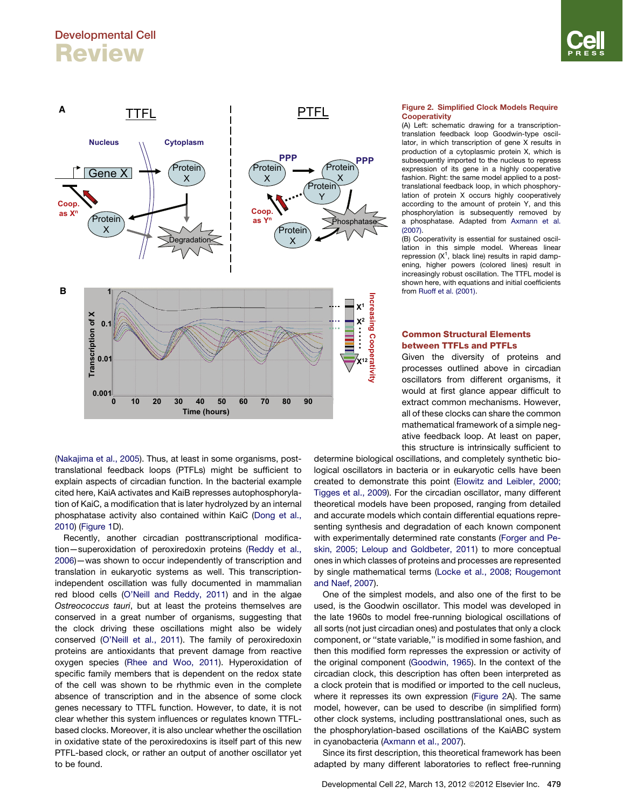<span id="page-2-0"></span>

[\(Nakajima et al., 2005](#page-8-0)). Thus, at least in some organisms, posttranslational feedback loops (PTFLs) might be sufficient to explain aspects of circadian function. In the bacterial example cited here, KaiA activates and KaiB represses autophosphorylation of KaiC, a modification that is later hydrolyzed by an internal phosphatase activity also contained within KaiC [\(Dong et al.,](#page-7-0) [2010\)](#page-7-0) ([Figure 1](#page-1-0)D).

Recently, another circadian posttranscriptional modification—superoxidation of peroxiredoxin proteins ([Reddy et al.,](#page-9-0) [2006\)](#page-9-0)—was shown to occur independently of transcription and translation in eukaryotic systems as well. This transcriptionindependent oscillation was fully documented in mammalian red blood cells [\(O'Neill and Reddy, 2011\)](#page-8-0) and in the algae *Ostreococcus tauri*, but at least the proteins themselves are conserved in a great number of organisms, suggesting that the clock driving these oscillations might also be widely conserved [\(O'Neill et al., 2011\)](#page-8-0). The family of peroxiredoxin proteins are antioxidants that prevent damage from reactive oxygen species ([Rhee and Woo, 2011\)](#page-9-0). Hyperoxidation of specific family members that is dependent on the redox state of the cell was shown to be rhythmic even in the complete absence of transcription and in the absence of some clock genes necessary to TTFL function. However, to date, it is not clear whether this system influences or regulates known TTFLbased clocks. Moreover, it is also unclear whether the oscillation in oxidative state of the peroxiredoxins is itself part of this new PTFL-based clock, or rather an output of another oscillator yet to be found.

#### Figure 2. Simplified Clock Models Require **Cooperativity**

(A) Left: schematic drawing for a transcriptiontranslation feedback loop Goodwin-type oscillator, in which transcription of gene X results in production of a cytoplasmic protein X, which is subsequently imported to the nucleus to repress expression of its gene in a highly cooperative fashion. Right: the same model applied to a posttranslational feedback loop, in which phosphorylation of protein X occurs highly cooperatively according to the amount of protein Y, and this phosphorylation is subsequently removed by a phosphatase. Adapted from [Axmann et al.](#page-6-0) [\(2007\)](#page-6-0).

(B) Cooperativity is essential for sustained oscillation in this simple model. Whereas linear repression  $(X^1)$ , black line) results in rapid dampening, higher powers (colored lines) result in increasingly robust oscillation. The TTFL model is shown here, with equations and initial coefficients from [Ruoff et al. \(2001\)](#page-9-0).

### Common Structural Elements between TTFLs and PTFLs

Given the diversity of proteins and processes outlined above in circadian oscillators from different organisms, it would at first glance appear difficult to extract common mechanisms. However, all of these clocks can share the common mathematical framework of a simple negative feedback loop. At least on paper, this structure is intrinsically sufficient to

determine biological oscillations, and completely synthetic biological oscillators in bacteria or in eukaryotic cells have been created to demonstrate this point ([Elowitz and Leibler, 2000;](#page-7-0) [Tigges et al., 2009\)](#page-7-0). For the circadian oscillator, many different theoretical models have been proposed, ranging from detailed and accurate models which contain differential equations representing synthesis and degradation of each known component with experimentally determined rate constants [\(Forger and Pe](#page-7-0)[skin, 2005; Leloup and Goldbeter, 2011\)](#page-7-0) to more conceptual ones in which classes of proteins and processes are represented by single mathematical terms [\(Locke et al., 2008; Rougemont](#page-8-0) [and Naef, 2007](#page-8-0)).

One of the simplest models, and also one of the first to be used, is the Goodwin oscillator. This model was developed in the late 1960s to model free-running biological oscillations of all sorts (not just circadian ones) and postulates that only a clock component, or ''state variable,'' is modified in some fashion, and then this modified form represses the expression or activity of the original component [\(Goodwin, 1965\)](#page-7-0). In the context of the circadian clock, this description has often been interpreted as a clock protein that is modified or imported to the cell nucleus, where it represses its own expression (Figure 2A). The same model, however, can be used to describe (in simplified form) other clock systems, including posttranslational ones, such as the phosphorylation-based oscillations of the KaiABC system in cyanobacteria [\(Axmann et al., 2007\)](#page-6-0).

Since its first description, this theoretical framework has been adapted by many different laboratories to reflect free-running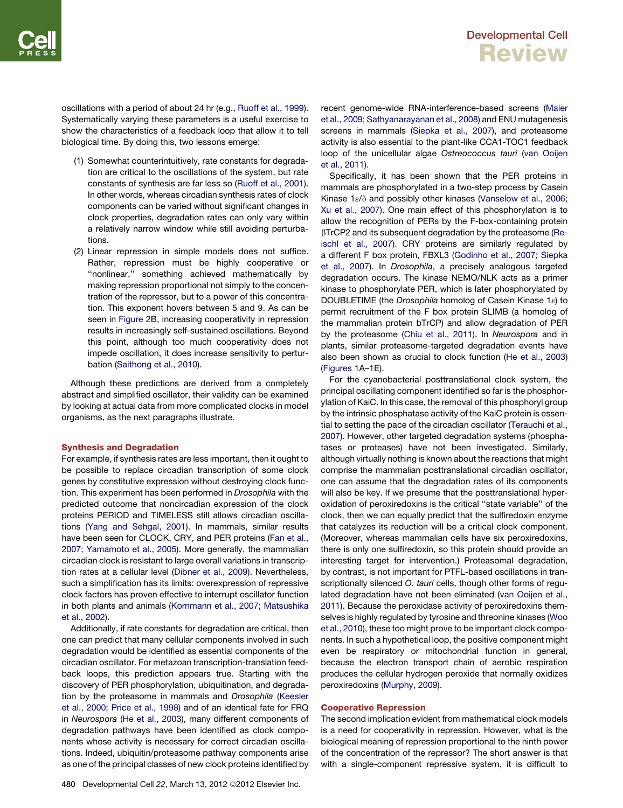oscillations with a period of about 24 hr (e.g., [Ruoff et al., 1999](#page-9-0)). Systematically varying these parameters is a useful exercise to show the characteristics of a feedback loop that allow it to tell biological time. By doing this, two lessons emerge:

- (1) Somewhat counterintuitively, rate constants for degradation are critical to the oscillations of the system, but rate constants of synthesis are far less so ([Ruoff et al., 2001](#page-9-0)). In other words, whereas circadian synthesis rates of clock components can be varied without significant changes in clock properties, degradation rates can only vary within a relatively narrow window while still avoiding perturbations.
- (2) Linear repression in simple models does not suffice. Rather, repression must be highly cooperative or ''nonlinear,'' something achieved mathematically by making repression proportional not simply to the concentration of the repressor, but to a power of this concentration. This exponent hovers between 5 and 9. As can be seen in [Figure 2](#page-2-0)B, increasing cooperativity in repression results in increasingly self-sustained oscillations. Beyond this point, although too much cooperativity does not impede oscillation, it does increase sensitivity to perturbation [\(Saithong et al., 2010](#page-9-0)).

Although these predictions are derived from a completely abstract and simplified oscillator, their validity can be examined by looking at actual data from more complicated clocks in model organisms, as the next paragraphs illustrate.

#### Synthesis and Degradation

For example, if synthesis rates are less important, then it ought to be possible to replace circadian transcription of some clock genes by constitutive expression without destroying clock function. This experiment has been performed in *Drosophila* with the predicted outcome that noncircadian expression of the clock proteins PERIOD and TIMELESS still allows circadian oscillations ([Yang and Sehgal, 2001\)](#page-10-0). In mammals, similar results have been seen for CLOCK, CRY, and PER proteins [\(Fan et al.,](#page-7-0) [2007; Yamamoto et al., 2005\)](#page-7-0). More generally, the mammalian circadian clock is resistant to large overall variations in transcription rates at a cellular level ([Dibner et al., 2009\)](#page-7-0). Nevertheless, such a simplification has its limits: overexpression of repressive clock factors has proven effective to interrupt oscillator function in both plants and animals ([Kornmann et al., 2007; Matsushika](#page-8-0) [et al., 2002\)](#page-8-0).

Additionally, if rate constants for degradation are critical, then one can predict that many cellular components involved in such degradation would be identified as essential components of the circadian oscillator. For metazoan transcription-translation feedback loops, this prediction appears true. Starting with the discovery of PER phosphorylation, ubiquitination, and degradation by the proteasome in mammals and *Drosophila* ([Keesler](#page-8-0) [et al., 2000; Price et al., 1998\)](#page-8-0) and of an identical fate for FRQ in *Neurospora* ([He et al., 2003\)](#page-7-0), many different components of degradation pathways have been identified as clock components whose activity is necessary for correct circadian oscillations. Indeed, ubiquitin/proteasome pathway components arise as one of the principal classes of new clock proteins identified by

# Developmental Cell **Review**

recent genome-wide RNA-interference-based screens ([Maier](#page-8-0) [et al., 2009; Sathyanarayanan et al., 2008\)](#page-8-0) and ENU mutagenesis screens in mammals ([Siepka et al., 2007\)](#page-9-0), and proteasome activity is also essential to the plant-like CCA1-TOC1 feedback loop of the unicellular algae *Ostreococcus tauri* ([van Ooijen](#page-9-0) [et al., 2011\)](#page-9-0).

Specifically, it has been shown that the PER proteins in mammals are phosphorylated in a two-step process by Casein Kinase  $1\varepsilon/\delta$  and possibly other kinases [\(Vanselow et al., 2006;](#page-9-0) [Xu et al., 2007\)](#page-9-0). One main effect of this phosphorylation is to allow the recognition of PERs by the F-box-containing protein bTrCP2 and its subsequent degradation by the proteasome [\(Re](#page-9-0)[ischl et al., 2007](#page-9-0)). CRY proteins are similarly regulated by a different F box protein, FBXL3 [\(Godinho et al., 2007; Siepka](#page-7-0) [et al., 2007\)](#page-7-0). In *Drosophila*, a precisely analogous targeted degradation occurs. The kinase NEMO/NLK acts as a primer kinase to phosphorylate PER, which is later phosphorylated by DOUBLETIME (the *Drosophila* homolog of Casein Kinase 1ε) to permit recruitment of the F box protein SLIMB (a homolog of the mammalian protein bTrCP) and allow degradation of PER by the proteasome [\(Chiu et al., 2011\)](#page-7-0). In *Neurospora* and in plants, similar proteasome-targeted degradation events have also been shown as crucial to clock function [\(He et al., 2003\)](#page-7-0) [\(Figures 1A](#page-1-0)–1E).

For the cyanobacterial posttranslational clock system, the principal oscillating component identified so far is the phosphorylation of KaiC. In this case, the removal of this phosphoryl group by the intrinsic phosphatase activity of the KaiC protein is essential to setting the pace of the circadian oscillator ([Terauchi et al.,](#page-9-0) [2007\)](#page-9-0). However, other targeted degradation systems (phosphatases or proteases) have not been investigated. Similarly, although virtually nothing is known about the reactions that might comprise the mammalian posttranslational circadian oscillator, one can assume that the degradation rates of its components will also be key. If we presume that the posttranslational hyperoxidation of peroxiredoxins is the critical ''state variable'' of the clock, then we can equally predict that the sulfiredoxin enzyme that catalyzes its reduction will be a critical clock component. (Moreover, whereas mammalian cells have six peroxiredoxins, there is only one sulfiredoxin, so this protein should provide an interesting target for intervention.) Proteasomal degradation, by contrast, is not important for PTFL-based oscillations in transcriptionally silenced *O. tauri* cells, though other forms of regulated degradation have not been eliminated [\(van Ooijen et al.,](#page-9-0) [2011\)](#page-9-0). Because the peroxidase activity of peroxiredoxins themselves is highly regulated by tyrosine and threonine kinases [\(Woo](#page-10-0) [et al., 2010](#page-10-0)), these too might prove to be important clock components. In such a hypothetical loop, the positive component might even be respiratory or mitochondrial function in general, because the electron transport chain of aerobic respiration produces the cellular hydrogen peroxide that normally oxidizes peroxiredoxins [\(Murphy, 2009\)](#page-8-0).

#### Cooperative Repression

The second implication evident from mathematical clock models is a need for cooperativity in repression. However, what is the biological meaning of repression proportional to the ninth power of the concentration of the repressor? The short answer is that with a single-component repressive system, it is difficult to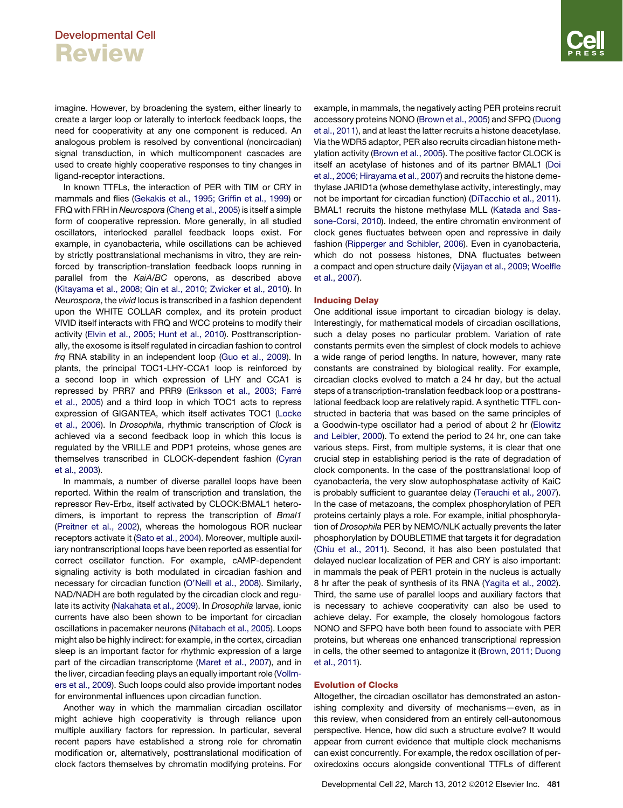imagine. However, by broadening the system, either linearly to create a larger loop or laterally to interlock feedback loops, the need for cooperativity at any one component is reduced. An analogous problem is resolved by conventional (noncircadian) signal transduction, in which multicomponent cascades are used to create highly cooperative responses to tiny changes in ligand-receptor interactions.

In known TTFLs, the interaction of PER with TIM or CRY in mammals and flies [\(Gekakis et al., 1995; Griffin et al., 1999](#page-7-0)) or FRQ with FRH in *Neurospora* ([Cheng et al., 2005](#page-7-0)) is itself a simple form of cooperative repression. More generally, in all studied oscillators, interlocked parallel feedback loops exist. For example, in cyanobacteria, while oscillations can be achieved by strictly posttranslational mechanisms in vitro, they are reinforced by transcription-translation feedback loops running in parallel from the *KaiA/BC* operons, as described above [\(Kitayama et al., 2008; Qin et al., 2010; Zwicker et al., 2010](#page-8-0)). In *Neurospora*, the *vivid* locus is transcribed in a fashion dependent upon the WHITE COLLAR complex, and its protein product VIVID itself interacts with FRQ and WCC proteins to modify their activity ([Elvin et al., 2005; Hunt et al., 2010](#page-7-0)). Posttranscriptionally, the exosome is itself regulated in circadian fashion to control *frq* RNA stability in an independent loop ([Guo et al., 2009](#page-7-0)). In plants, the principal TOC1-LHY-CCA1 loop is reinforced by a second loop in which expression of LHY and CCA1 is repressed by PRR7 and PRR9 (Eriksson et al., 2003; Farré [et al., 2005\)](#page-7-0) and a third loop in which TOC1 acts to repress expression of GIGANTEA, which itself activates TOC1 [\(Locke](#page-8-0) [et al., 2006\)](#page-8-0). In *Drosophila*, rhythmic transcription of *Clock* is achieved via a second feedback loop in which this locus is regulated by the VRILLE and PDP1 proteins, whose genes are themselves transcribed in CLOCK-dependent fashion ([Cyran](#page-7-0) [et al., 2003\)](#page-7-0).

In mammals, a number of diverse parallel loops have been reported. Within the realm of transcription and translation, the repressor Rev-Erba, itself activated by CLOCK:BMAL1 heterodimers, is important to repress the transcription of *Bmal1* [\(Preitner et al., 2002\)](#page-9-0), whereas the homologous ROR nuclear receptors activate it ([Sato et al., 2004\)](#page-9-0). Moreover, multiple auxiliary nontranscriptional loops have been reported as essential for correct oscillator function. For example, cAMP-dependent signaling activity is both modulated in circadian fashion and necessary for circadian function [\(O'Neill et al., 2008\)](#page-8-0). Similarly, NAD/NADH are both regulated by the circadian clock and regulate its activity [\(Nakahata et al., 2009\)](#page-8-0). In *Drosophila* larvae, ionic currents have also been shown to be important for circadian oscillations in pacemaker neurons ([Nitabach et al., 2005\)](#page-8-0). Loops might also be highly indirect: for example, in the cortex, circadian sleep is an important factor for rhythmic expression of a large part of the circadian transcriptome [\(Maret et al., 2007\)](#page-8-0), and in the liver, circadian feeding plays an equally important role ([Vollm](#page-9-0)[ers et al., 2009](#page-9-0)). Such loops could also provide important nodes for environmental influences upon circadian function.

Another way in which the mammalian circadian oscillator might achieve high cooperativity is through reliance upon multiple auxiliary factors for repression. In particular, several recent papers have established a strong role for chromatin modification or, alternatively, posttranslational modification of clock factors themselves by chromatin modifying proteins. For example, in mammals, the negatively acting PER proteins recruit accessory proteins NONO ([Brown et al., 2005](#page-6-0)) and SFPQ [\(Duong](#page-7-0) et [al., 2011\)](#page-7-0), and at least the latter recruits a histone deacetylase. Via the WDR5 adaptor, PER also recruits circadian histone methylation activity [\(Brown et al., 2005\)](#page-6-0). The positive factor CLOCK is itself an acetylase of histones and of its partner BMAL1 ([Doi](#page-7-0) [et al., 2006; Hirayama et al., 2007](#page-7-0)) and recruits the histone demethylase JARID1a (whose demethylase activity, interestingly, may not be important for circadian function) [\(DiTacchio et al., 2011\)](#page-7-0). BMAL1 recruits the histone methylase MLL ([Katada and Sas](#page-8-0)[sone-Corsi, 2010](#page-8-0)). Indeed, the entire chromatin environment of clock genes fluctuates between open and repressive in daily fashion ([Ripperger and Schibler, 2006\)](#page-9-0). Even in cyanobacteria, which do not possess histones, DNA fluctuates between a compact and open structure daily ([Vijayan et al., 2009; Woelfle](#page-9-0) [et al., 2007](#page-9-0)).

### Inducing Delay

One additional issue important to circadian biology is delay. Interestingly, for mathematical models of circadian oscillations, such a delay poses no particular problem. Variation of rate constants permits even the simplest of clock models to achieve a wide range of period lengths. In nature, however, many rate constants are constrained by biological reality. For example, circadian clocks evolved to match a 24 hr day, but the actual steps of a transcription-translation feedback loop or a posttranslational feedback loop are relatively rapid. A synthetic TTFL constructed in bacteria that was based on the same principles of a Goodwin-type oscillator had a period of about 2 hr [\(Elowitz](#page-7-0) [and Leibler, 2000](#page-7-0)). To extend the period to 24 hr, one can take various steps. First, from multiple systems, it is clear that one crucial step in establishing period is the rate of degradation of clock components. In the case of the posttranslational loop of cyanobacteria, the very slow autophosphatase activity of KaiC is probably sufficient to guarantee delay [\(Terauchi et al., 2007\)](#page-9-0). In the case of metazoans, the complex phosphorylation of PER proteins certainly plays a role. For example, initial phosphorylation of *Drosophila* PER by NEMO/NLK actually prevents the later phosphorylation by DOUBLETIME that targets it for degradation [\(Chiu et al., 2011\)](#page-7-0). Second, it has also been postulated that delayed nuclear localization of PER and CRY is also important: in mammals the peak of PER1 protein in the nucleus is actually 8 hr after the peak of synthesis of its RNA [\(Yagita et al., 2002\)](#page-10-0). Third, the same use of parallel loops and auxiliary factors that is necessary to achieve cooperativity can also be used to achieve delay. For example, the closely homologous factors NONO and SFPQ have both been found to associate with PER proteins, but whereas one enhanced transcriptional repression in cells, the other seemed to antagonize it ([Brown, 2011; Duong](#page-6-0) [et al., 2011](#page-6-0)).

### Evolution of Clocks

Altogether, the circadian oscillator has demonstrated an astonishing complexity and diversity of mechanisms—even, as in this review, when considered from an entirely cell-autonomous perspective. Hence, how did such a structure evolve? It would appear from current evidence that multiple clock mechanisms can exist concurrently. For example, the redox oscillation of peroxiredoxins occurs alongside conventional TTFLs of different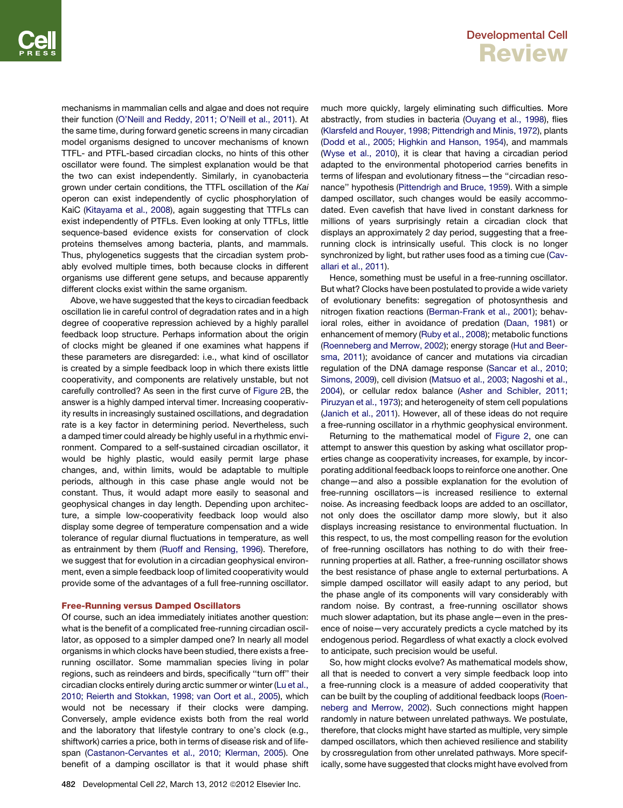mechanisms in mammalian cells and algae and does not require their function ([O'Neill and Reddy, 2011; O'Neill et al., 2011](#page-8-0)). At the same time, during forward genetic screens in many circadian model organisms designed to uncover mechanisms of known TTFL- and PTFL-based circadian clocks, no hints of this other oscillator were found. The simplest explanation would be that the two can exist independently. Similarly, in cyanobacteria grown under certain conditions, the TTFL oscillation of the *Kai* operon can exist independently of cyclic phosphorylation of KaiC [\(Kitayama et al., 2008\)](#page-8-0), again suggesting that TTFLs can exist independently of PTFLs. Even looking at only TTFLs, little sequence-based evidence exists for conservation of clock proteins themselves among bacteria, plants, and mammals. Thus, phylogenetics suggests that the circadian system probably evolved multiple times, both because clocks in different organisms use different gene setups, and because apparently different clocks exist within the same organism.

Above, we have suggested that the keys to circadian feedback oscillation lie in careful control of degradation rates and in a high degree of cooperative repression achieved by a highly parallel feedback loop structure. Perhaps information about the origin of clocks might be gleaned if one examines what happens if these parameters are disregarded: i.e., what kind of oscillator is created by a simple feedback loop in which there exists little cooperativity, and components are relatively unstable, but not carefully controlled? As seen in the first curve of [Figure 2](#page-2-0)B, the answer is a highly damped interval timer. Increasing cooperativity results in increasingly sustained oscillations, and degradation rate is a key factor in determining period. Nevertheless, such a damped timer could already be highly useful in a rhythmic environment. Compared to a self-sustained circadian oscillator, it would be highly plastic, would easily permit large phase changes, and, within limits, would be adaptable to multiple periods, although in this case phase angle would not be constant. Thus, it would adapt more easily to seasonal and geophysical changes in day length. Depending upon architecture, a simple low-cooperativity feedback loop would also display some degree of temperature compensation and a wide tolerance of regular diurnal fluctuations in temperature, as well as entrainment by them ([Ruoff and Rensing, 1996\)](#page-9-0). Therefore, we suggest that for evolution in a circadian geophysical environment, even a simple feedback loop of limited cooperativity would provide some of the advantages of a full free-running oscillator.

#### Free-Running versus Damped Oscillators

Of course, such an idea immediately initiates another question: what is the benefit of a complicated free-running circadian oscillator, as opposed to a simpler damped one? In nearly all model organisms in which clocks have been studied, there exists a freerunning oscillator. Some mammalian species living in polar regions, such as reindeers and birds, specifically ''turn off'' their circadian clocks entirely during arctic summer or winter ([Lu et al.,](#page-8-0) [2010; Reierth and Stokkan, 1998; van Oort et al., 2005](#page-8-0)), which would not be necessary if their clocks were damping. Conversely, ample evidence exists both from the real world and the laboratory that lifestyle contrary to one's clock (e.g., shiftwork) carries a price, both in terms of disease risk and of lifespan ([Castanon-Cervantes et al., 2010; Klerman, 2005\)](#page-6-0). One benefit of a damping oscillator is that it would phase shift

# Developmental Cell **Review**

much more quickly, largely eliminating such difficulties. More abstractly, from studies in bacteria ([Ouyang et al., 1998](#page-8-0)), flies [\(Klarsfeld and Rouyer, 1998; Pittendrigh and Minis, 1972](#page-8-0)), plants [\(Dodd et al., 2005; Highkin and Hanson, 1954\)](#page-7-0), and mammals [\(Wyse et al., 2010\)](#page-10-0), it is clear that having a circadian period adapted to the environmental photoperiod carries benefits in terms of lifespan and evolutionary fitness—the ''circadian resonance'' hypothesis [\(Pittendrigh and Bruce, 1959\)](#page-9-0). With a simple damped oscillator, such changes would be easily accommodated. Even cavefish that have lived in constant darkness for millions of years surprisingly retain a circadian clock that displays an approximately 2 day period, suggesting that a freerunning clock is intrinsically useful. This clock is no longer synchronized by light, but rather uses food as a timing cue ([Cav](#page-7-0)[allari et al., 2011\)](#page-7-0).

Hence, something must be useful in a free-running oscillator. But what? Clocks have been postulated to provide a wide variety of evolutionary benefits: segregation of photosynthesis and nitrogen fixation reactions [\(Berman-Frank et al., 2001\)](#page-6-0); behavioral roles, either in avoidance of predation [\(Daan, 1981\)](#page-7-0) or enhancement of memory ([Ruby et al., 2008](#page-9-0)); metabolic functions [\(Roenneberg and Merrow, 2002\)](#page-9-0); energy storage [\(Hut and Beer](#page-7-0)[sma, 2011](#page-7-0)); avoidance of cancer and mutations via circadian regulation of the DNA damage response [\(Sancar et al., 2010;](#page-9-0) [Simons, 2009\)](#page-9-0), cell division [\(Matsuo et al., 2003; Nagoshi et al.,](#page-8-0) [2004\)](#page-8-0), or cellular redox balance ([Asher and Schibler, 2011;](#page-6-0) [Piruzyan et al., 1973\)](#page-6-0); and heterogeneity of stem cell populations [\(Janich et al., 2011\)](#page-8-0). However, all of these ideas do not require a free-running oscillator in a rhythmic geophysical environment.

Returning to the mathematical model of [Figure 2](#page-2-0), one can attempt to answer this question by asking what oscillator properties change as cooperativity increases, for example, by incorporating additional feedback loops to reinforce one another. One change—and also a possible explanation for the evolution of free-running oscillators—is increased resilience to external noise. As increasing feedback loops are added to an oscillator, not only does the oscillator damp more slowly, but it also displays increasing resistance to environmental fluctuation. In this respect, to us, the most compelling reason for the evolution of free-running oscillators has nothing to do with their freerunning properties at all. Rather, a free-running oscillator shows the best resistance of phase angle to external perturbations. A simple damped oscillator will easily adapt to any period, but the phase angle of its components will vary considerably with random noise. By contrast, a free-running oscillator shows much slower adaptation, but its phase angle—even in the presence of noise—very accurately predicts a cycle matched by its endogenous period. Regardless of what exactly a clock evolved to anticipate, such precision would be useful.

So, how might clocks evolve? As mathematical models show, all that is needed to convert a very simple feedback loop into a free-running clock is a measure of added cooperativity that can be built by the coupling of additional feedback loops ([Roen](#page-9-0)[neberg and Merrow, 2002\)](#page-9-0). Such connections might happen randomly in nature between unrelated pathways. We postulate, therefore, that clocks might have started as multiple, very simple damped oscillators, which then achieved resilience and stability by crossregulation from other unrelated pathways. More specifically, some have suggested that clocks might have evolved from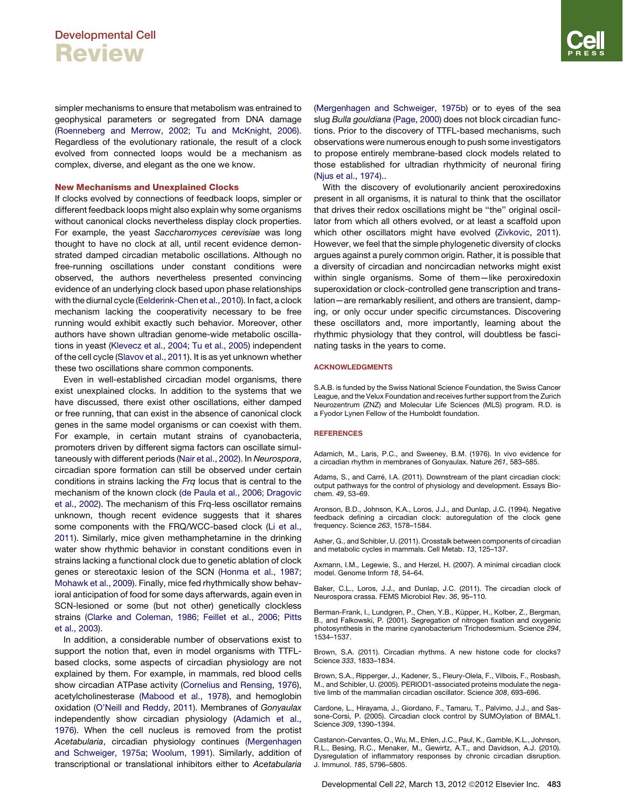<span id="page-6-0"></span>simpler mechanisms to ensure that metabolism was entrained to geophysical parameters or segregated from DNA damage [\(Roenneberg and Merrow, 2002; Tu and McKnight, 2006\)](#page-9-0). Regardless of the evolutionary rationale, the result of a clock evolved from connected loops would be a mechanism as complex, diverse, and elegant as the one we know.

### New Mechanisms and Unexplained Clocks

If clocks evolved by connections of feedback loops, simpler or different feedback loops might also explain why some organisms without canonical clocks nevertheless display clock properties. For example, the yeast *Saccharomyces cerevisiae* was long thought to have no clock at all, until recent evidence demonstrated damped circadian metabolic oscillations. Although no free-running oscillations under constant conditions were observed, the authors nevertheless presented convincing evidence of an underlying clock based upon phase relationships with the diurnal cycle ([Eelderink-Chen et al., 2010\)](#page-7-0). In fact, a clock mechanism lacking the cooperativity necessary to be free running would exhibit exactly such behavior. Moreover, other authors have shown ultradian genome-wide metabolic oscillations in yeast ([Klevecz et al., 2004; Tu et al., 2005](#page-8-0)) independent of the cell cycle ([Slavov et al., 2011](#page-9-0)). It is as yet unknown whether these two oscillations share common components.

Even in well-established circadian model organisms, there exist unexplained clocks. In addition to the systems that we have discussed, there exist other oscillations, either damped or free running, that can exist in the absence of canonical clock genes in the same model organisms or can coexist with them. For example, in certain mutant strains of cyanobacteria, promoters driven by different sigma factors can oscillate simultaneously with different periods [\(Nair et al., 2002\)](#page-8-0). In *Neurospora*, circadian spore formation can still be observed under certain conditions in strains lacking the *Frq* locus that is central to the mechanism of the known clock ([de Paula et al., 2006; Dragovic](#page-7-0) [et al., 2002\)](#page-7-0). The mechanism of this Frq-less oscillator remains unknown, though recent evidence suggests that it shares some components with the FRQ/WCC-based clock ([Li et al.,](#page-8-0) [2011\)](#page-8-0). Similarly, mice given methamphetamine in the drinking water show rhythmic behavior in constant conditions even in strains lacking a functional clock due to genetic ablation of clock genes or stereotaxic lesion of the SCN ([Honma et al., 1987;](#page-7-0) [Mohawk et al., 2009](#page-7-0)). Finally, mice fed rhythmically show behavioral anticipation of food for some days afterwards, again even in SCN-lesioned or some (but not other) genetically clockless strains [\(Clarke and Coleman, 1986; Feillet et al., 2006; Pitts](#page-7-0) [et al., 2003\)](#page-7-0).

In addition, a considerable number of observations exist to support the notion that, even in model organisms with TTFLbased clocks, some aspects of circadian physiology are not explained by them. For example, in mammals, red blood cells show circadian ATPase activity [\(Cornelius and Rensing, 1976\)](#page-7-0), acetylcholinesterase [\(Mabood et al., 1978\)](#page-8-0), and hemoglobin oxidation ([O'Neill and Reddy, 2011\)](#page-8-0). Membranes of *Gonyaulax* independently show circadian physiology (Adamich et al., 1976). When the cell nucleus is removed from the protist *Acetabularia*, circadian physiology continues ([Mergenhagen](#page-8-0) [and Schweiger, 1975a; Woolum, 1991\)](#page-8-0). Similarly, addition of transcriptional or translational inhibitors either to *Acetabularia* [\(Mergenhagen and Schweiger, 1975b](#page-8-0)) or to eyes of the sea slug *Bulla gouldiana* ([Page, 2000\)](#page-8-0) does not block circadian functions. Prior to the discovery of TTFL-based mechanisms, such observations were numerous enough to push some investigators to propose entirely membrane-based clock models related to those established for ultradian rhythmicity of neuronal firing [\(Njus et al., 1974](#page-8-0))..

With the discovery of evolutionarily ancient peroxiredoxins present in all organisms, it is natural to think that the oscillator that drives their redox oscillations might be ''the'' original oscillator from which all others evolved, or at least a scaffold upon which other oscillators might have evolved ([Zivkovic,](#page-10-0) 2011). However, we feel that the simple phylogenetic diversity of clocks argues against a purely common origin. Rather, it is possible that a diversity of circadian and noncircadian networks might exist within single organisms. Some of them—like peroxiredoxin superoxidation or clock-controlled gene transcription and translation—are remarkably resilient, and others are transient, damping, or only occur under specific circumstances. Discovering these oscillators and, more importantly, learning about the rhythmic physiology that they control, will doubtless be fascinating tasks in the years to come.

#### ACKNOWLEDGMENTS

S.A.B. is funded by the Swiss National Science Foundation, the Swiss Cancer League, and the Velux Foundation and receives further support from the Zurich Neurozentrum (ZNZ) and Molecular Life Sciences (MLS) program. R.D. is a Fyodor Lynen Fellow of the Humboldt foundation.

#### **REFERENCES**

Adamich, M., Laris, P.C., and Sweeney, B.M. (1976). In vivo evidence for a circadian rhythm in membranes of Gonyaulax. Nature *261*, 583–585.

Adams, S., and Carré, I.A. (2011). Downstream of the plant circadian clock: output pathways for the control of physiology and development. Essays Biochem. *49*, 53–69.

Aronson, B.D., Johnson, K.A., Loros, J.J., and Dunlap, J.C. (1994). Negative feedback defining a circadian clock: autoregulation of the clock gene frequency. Science *263*, 1578–1584.

Asher, G., and Schibler, U. (2011). Crosstalk between components of circadian and metabolic cycles in mammals. Cell Metab. *13*, 125–137.

Axmann, I.M., Legewie, S., and Herzel, H. (2007). A minimal circadian clock model. Genome Inform *18*, 54–64.

Baker, C.L., Loros, J.J., and Dunlap, J.C. (2011). The circadian clock of Neurospora crassa. FEMS Microbiol Rev. *36*, 95–110.

Berman-Frank, I., Lundgren, P., Chen, Y.B., Küpper, H., Kolber, Z., Bergman, B., and Falkowski, P. (2001). Segregation of nitrogen fixation and oxygenic photosynthesis in the marine cyanobacterium Trichodesmium. Science *294*, 1534–1537.

Brown, S.A. (2011). Circadian rhythms. A new histone code for clocks? Science *333*, 1833–1834.

Brown, S.A., Ripperger, J., Kadener, S., Fleury-Olela, F., Vilbois, F., Rosbash, M., and Schibler, U. (2005). PERIOD1-associated proteins modulate the negative limb of the mammalian circadian oscillator. Science *308*, 693–696.

Cardone, L., Hirayama, J., Giordano, F., Tamaru, T., Palvimo, J.J., and Sassone-Corsi, P. (2005). Circadian clock control by SUMOylation of BMAL1. Science *309*, 1390–1394.

Castanon-Cervantes, O., Wu, M., Ehlen, J.C., Paul, K., Gamble, K.L., Johnson, R.L., Besing, R.C., Menaker, M., Gewirtz, A.T., and Davidson, A.J. (2010). Dysregulation of inflammatory responses by chronic circadian disruption. J. Immunol. *185*, 5796–5805.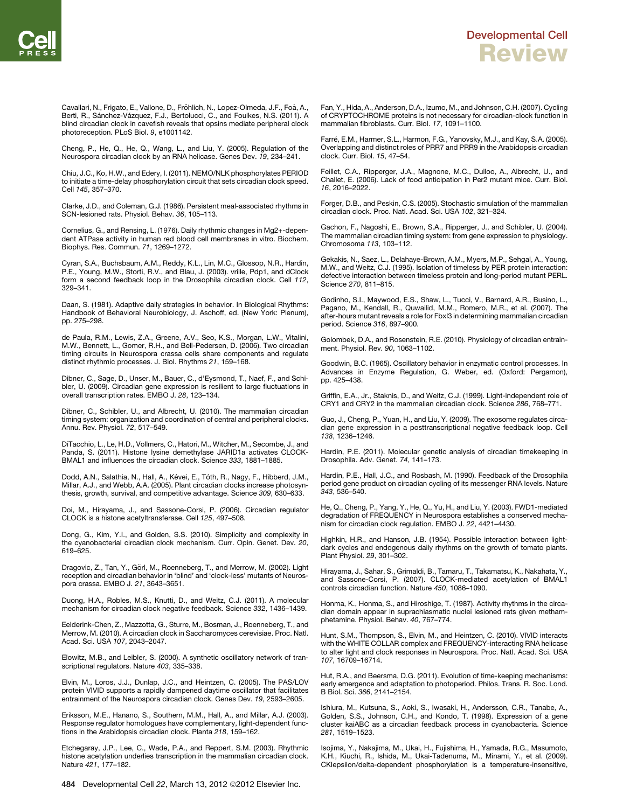<span id="page-7-0"></span>Cavallari, N., Frigato, E., Vallone, D., Fröhlich, N., Lopez-Olmeda, J.F., Foà, A., Berti, R., Sánchez-Vázquez, F.J., Bertolucci, C., and Foulkes, N.S. (2011). A blind circadian clock in cavefish reveals that opsins mediate peripheral clock photoreception. PLoS Biol. *9*, e1001142.

Cheng, P., He, Q., He, Q., Wang, L., and Liu, Y. (2005). Regulation of the Neurospora circadian clock by an RNA helicase. Genes Dev. *19*, 234–241.

Chiu, J.C., Ko, H.W., and Edery, I. (2011). NEMO/NLK phosphorylates PERIOD to initiate a time-delay phosphorylation circuit that sets circadian clock speed. Cell *145*, 357–370.

Clarke, J.D., and Coleman, G.J. (1986). Persistent meal-associated rhythms in SCN-lesioned rats. Physiol. Behav. *36*, 105–113.

Cornelius, G., and Rensing, L. (1976). Daily rhythmic changes in Mg2+-dependent ATPase activity in human red blood cell membranes in vitro. Biochem. Biophys. Res. Commun. *71*, 1269–1272.

Cyran, S.A., Buchsbaum, A.M., Reddy, K.L., Lin, M.C., Glossop, N.R., Hardin, P.E., Young, M.W., Storti, R.V., and Blau, J. (2003). vrille, Pdp1, and dClock form a second feedback loop in the Drosophila circadian clock. Cell *112*, 329–341.

Daan, S. (1981). Adaptive daily strategies in behavior. In Biological Rhythms: Handbook of Behavioral Neurobiology, J. Aschoff, ed. (New York: Plenum), pp. 275–298.

de Paula, R.M., Lewis, Z.A., Greene, A.V., Seo, K.S., Morgan, L.W., Vitalini, M.W., Bennett, L., Gomer, R.H., and Bell-Pedersen, D. (2006). Two circadian timing circuits in Neurospora crassa cells share components and regulate distinct rhythmic processes. J. Biol. Rhythms *21*, 159–168.

Dibner, C., Sage, D., Unser, M., Bauer, C., d'Eysmond, T., Naef, F., and Schibler, U. (2009). Circadian gene expression is resilient to large fluctuations in overall transcription rates. EMBO J. *28*, 123–134.

Dibner, C., Schibler, U., and Albrecht, U. (2010). The mammalian circadian timing system: organization and coordination of central and peripheral clocks. Annu. Rev. Physiol. *72*, 517–549.

DiTacchio, L., Le, H.D., Vollmers, C., Hatori, M., Witcher, M., Secombe, J., and Panda, S. (2011). Histone lysine demethylase JARID1a activates CLOCK-BMAL1 and influences the circadian clock. Science *333*, 1881–1885.

Dodd, A.N., Salathia, N., Hall, A., Kévei, E., Tóth, R., Nagy, F., Hibberd, J.M., Millar, A.J., and Webb, A.A. (2005). Plant circadian clocks increase photosynthesis, growth, survival, and competitive advantage. Science *309*, 630–633.

Doi, M., Hirayama, J., and Sassone-Corsi, P. (2006). Circadian regulator CLOCK is a histone acetyltransferase. Cell *125*, 497–508.

Dong, G., Kim, Y.I., and Golden, S.S. (2010). Simplicity and complexity in the cyanobacterial circadian clock mechanism. Curr. Opin. Genet. Dev. *20*, 619–625.

Dragovic, Z., Tan, Y., Görl, M., Roenneberg, T., and Merrow, M. (2002). Light reception and circadian behavior in 'blind' and 'clock-less' mutants of Neurospora crassa. EMBO J. *21*, 3643–3651.

Duong, H.A., Robles, M.S., Knutti, D., and Weitz, C.J. (2011). A molecular mechanism for circadian clock negative feedback. Science *332*, 1436–1439.

Eelderink-Chen, Z., Mazzotta, G., Sturre, M., Bosman, J., Roenneberg, T., and Merrow, M. (2010). A circadian clock in Saccharomyces cerevisiae. Proc. Natl. Acad. Sci. USA *107*, 2043–2047.

Elowitz, M.B., and Leibler, S. (2000). A synthetic oscillatory network of transcriptional regulators. Nature *403*, 335–338.

Elvin, M., Loros, J.J., Dunlap, J.C., and Heintzen, C. (2005). The PAS/LOV protein VIVID supports a rapidly dampened daytime oscillator that facilitates entrainment of the Neurospora circadian clock. Genes Dev. *19*, 2593–2605.

Eriksson, M.E., Hanano, S., Southern, M.M., Hall, A., and Millar, A.J. (2003). Response regulator homologues have complementary, light-dependent functions in the Arabidopsis circadian clock. Planta *218*, 159–162.

Etchegaray, J.P., Lee, C., Wade, P.A., and Reppert, S.M. (2003). Rhythmic histone acetylation underlies transcription in the mammalian circadian clock. Nature *421*, 177–182.

484 Developmental Cell 22, March 13, 2012 ©2012 Elsevier Inc.

Fan, Y., Hida, A., Anderson, D.A., Izumo, M., and Johnson, C.H. (2007). Cycling of CRYPTOCHROME proteins is not necessary for circadian-clock function in mammalian fibroblasts. Curr. Biol. *17*, 1091–1100.

Farré, E.M., Harmer, S.L., Harmon, F.G., Yanovsky, M.J., and Kay, S.A. (2005). Overlapping and distinct roles of PRR7 and PRR9 in the Arabidopsis circadian clock. Curr. Biol. *15*, 47–54.

Feillet, C.A., Ripperger, J.A., Magnone, M.C., Dulloo, A., Albrecht, U., and Challet, E. (2006). Lack of food anticipation in Per2 mutant mice. Curr. Biol. *16*, 2016–2022.

Forger, D.B., and Peskin, C.S. (2005). Stochastic simulation of the mammalian circadian clock. Proc. Natl. Acad. Sci. USA *102*, 321–324.

Gachon, F., Nagoshi, E., Brown, S.A., Ripperger, J., and Schibler, U. (2004). The mammalian circadian timing system: from gene expression to physiology. Chromosoma *113*, 103–112.

Gekakis, N., Saez, L., Delahaye-Brown, A.M., Myers, M.P., Sehgal, A., Young, M.W., and Weitz, C.J. (1995). Isolation of timeless by PER protein interaction: defective interaction between timeless protein and long-period mutant PERL. Science *270*, 811–815.

Godinho, S.I., Maywood, E.S., Shaw, L., Tucci, V., Barnard, A.R., Busino, L., Pagano, M., Kendall, R., Quwailid, M.M., Romero, M.R., et al. (2007). The after-hours mutant reveals a role for Fbxl3 in determining mammalian circadian period. Science *316*, 897–900.

Golombek, D.A., and Rosenstein, R.E. (2010). Physiology of circadian entrainment. Physiol. Rev. *90*, 1063–1102.

Goodwin, B.C. (1965). Oscillatory behavior in enzymatic control processes. In Advances in Enzyme Regulation, G. Weber, ed. (Oxford: Pergamon), pp. 425–438.

Griffin, E.A., Jr., Staknis, D., and Weitz, C.J. (1999). Light-independent role of CRY1 and CRY2 in the mammalian circadian clock. Science *286*, 768–771.

Guo, J., Cheng, P., Yuan, H., and Liu, Y. (2009). The exosome regulates circadian gene expression in a posttranscriptional negative feedback loop. Cell *138*, 1236–1246.

Hardin, P.E. (2011). Molecular genetic analysis of circadian timekeeping in Drosophila. Adv. Genet. *74*, 141–173.

Hardin, P.E., Hall, J.C., and Rosbash, M. (1990). Feedback of the Drosophila period gene product on circadian cycling of its messenger RNA levels. Nature *343*, 536–540.

He, Q., Cheng, P., Yang, Y., He, Q., Yu, H., and Liu, Y. (2003). FWD1-mediated degradation of FREQUENCY in Neurospora establishes a conserved mechanism for circadian clock regulation. EMBO J. *22*, 4421–4430.

Highkin, H.R., and Hanson, J.B. (1954). Possible interaction between lightdark cycles and endogenous daily rhythms on the growth of tomato plants. Plant Physiol. *29*, 301–302.

Hirayama, J., Sahar, S., Grimaldi, B., Tamaru, T., Takamatsu, K., Nakahata, Y., and Sassone-Corsi, P. (2007). CLOCK-mediated acetylation of BMAL1 controls circadian function. Nature *450*, 1086–1090.

Honma, K., Honma, S., and Hiroshige, T. (1987). Activity rhythms in the circadian domain appear in suprachiasmatic nuclei lesioned rats given methamphetamine. Physiol. Behav. *40*, 767–774.

Hunt, S.M., Thompson, S., Elvin, M., and Heintzen, C. (2010). VIVID interacts with the WHITE COLLAR complex and FREQUENCY-interacting RNA helicase to alter light and clock responses in Neurospora. Proc. Natl. Acad. Sci. USA *107*, 16709–16714.

Hut, R.A., and Beersma, D.G. (2011). Evolution of time-keeping mechanisms: early emergence and adaptation to photoperiod. Philos. Trans. R. Soc. Lond. B Biol. Sci. *366*, 2141–2154.

Ishiura, M., Kutsuna, S., Aoki, S., Iwasaki, H., Andersson, C.R., Tanabe, A., Golden, S.S., Johnson, C.H., and Kondo, T. (1998). Expression of a gene cluster kaiABC as a circadian feedback process in cyanobacteria. Science *281*, 1519–1523.

Isojima, Y., Nakajima, M., Ukai, H., Fujishima, H., Yamada, R.G., Masumoto, K.H., Kiuchi, R., Ishida, M., Ukai-Tadenuma, M., Minami, Y., et al. (2009). CKIepsilon/delta-dependent phosphorylation is a temperature-insensitive,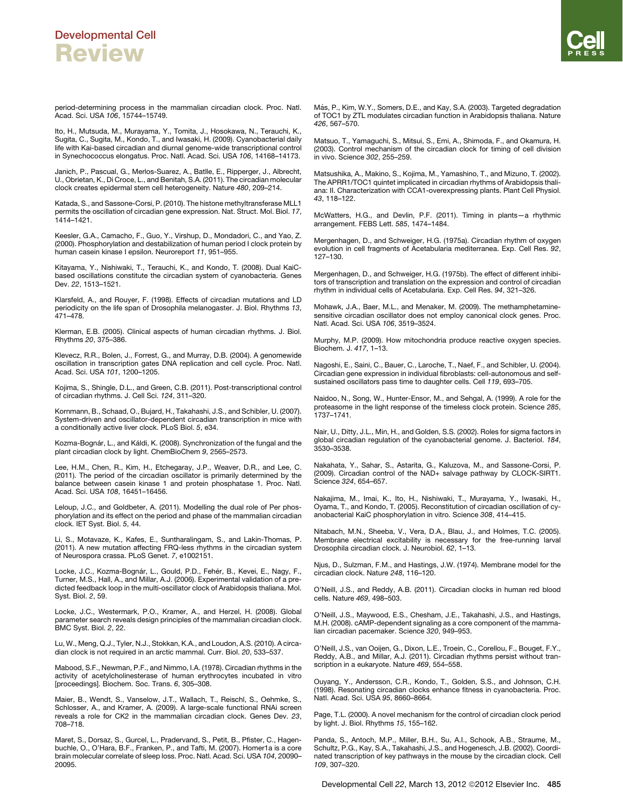<span id="page-8-0"></span>period-determining process in the mammalian circadian clock. Proc. Natl. Acad. Sci. USA *106*, 15744–15749.

Ito, H., Mutsuda, M., Murayama, Y., Tomita, J., Hosokawa, N., Terauchi, K., Sugita, C., Sugita, M., Kondo, T., and Iwasaki, H. (2009). Cyanobacterial daily life with Kai-based circadian and diurnal genome-wide transcriptional control in Synechococcus elongatus. Proc. Natl. Acad. Sci. USA *106*, 14168–14173.

Janich, P., Pascual, G., Merlos-Suarez, A., Batlle, E., Ripperger, J., Albrecht, U., Obrietan, K., Di Croce, L., and Benitah, S.A. (2011). The circadian molecular clock creates epidermal stem cell heterogeneity. Nature *480*, 209–214.

Katada, S., and Sassone-Corsi, P. (2010). The histone methyltransferase MLL1 permits the oscillation of circadian gene expression. Nat. Struct. Mol. Biol. *17*, 1414–1421.

Keesler, G.A., Camacho, F., Guo, Y., Virshup, D., Mondadori, C., and Yao, Z. (2000). Phosphorylation and destabilization of human period I clock protein by human casein kinase I epsilon. Neuroreport *11*, 951–955.

Kitayama, Y., Nishiwaki, T., Terauchi, K., and Kondo, T. (2008). Dual KaiCbased oscillations constitute the circadian system of cyanobacteria. Genes Dev. *22*, 1513–1521.

Klarsfeld, A., and Rouyer, F. (1998). Effects of circadian mutations and LD periodicity on the life span of Drosophila melanogaster. J. Biol. Rhythms *13*, 471–478.

Klerman, E.B. (2005). Clinical aspects of human circadian rhythms. J. Biol. Rhythms *20*, 375–386.

Klevecz, R.R., Bolen, J., Forrest, G., and Murray, D.B. (2004). A genomewide oscillation in transcription gates DNA replication and cell cycle. Proc. Natl. Acad. Sci. USA *101*, 1200–1205.

Kojima, S., Shingle, D.L., and Green, C.B. (2011). Post-transcriptional control of circadian rhythms. J. Cell Sci. *124*, 311–320.

Kornmann, B., Schaad, O., Bujard, H., Takahashi, J.S., and Schibler, U. (2007). System-driven and oscillator-dependent circadian transcription in mice with a conditionally active liver clock. PLoS Biol. *5*, e34.

Kozma-Bognár, L., and Káldi, K. (2008). Synchronization of the fungal and the plant circadian clock by light. ChemBioChem *9*, 2565–2573.

Lee, H.M., Chen, R., Kim, H., Etchegaray, J.P., Weaver, D.R., and Lee, C. (2011). The period of the circadian oscillator is primarily determined by the balance between casein kinase 1 and protein phosphatase 1. Proc. Natl. Acad. Sci. USA *108*, 16451–16456.

Leloup, J.C., and Goldbeter, A. (2011). Modelling the dual role of Per phosphorylation and its effect on the period and phase of the mammalian circadian clock. IET Syst. Biol. *5*, 44.

Li, S., Motavaze, K., Kafes, E., Suntharalingam, S., and Lakin-Thomas, P. (2011). A new mutation affecting FRQ-less rhythms in the circadian system of Neurospora crassa. PLoS Genet. *7*, e1002151.

Locke, J.C., Kozma-Bognár, L., Gould, P.D., Fehér, B., Kevei, E., Nagy, F., Turner, M.S., Hall, A., and Millar, A.J. (2006). Experimental validation of a predicted feedback loop in the multi-oscillator clock of Arabidopsis thaliana. Mol. Syst. Biol. *2*, 59.

Locke, J.C., Westermark, P.O., Kramer, A., and Herzel, H. (2008). Global parameter search reveals design principles of the mammalian circadian clock. BMC Syst. Biol. *2*, 22.

Lu, W., Meng, Q.J., Tyler, N.J., Stokkan, K.A., and Loudon, A.S. (2010). A circadian clock is not required in an arctic mammal. Curr. Biol. *20*, 533–537.

Mabood, S.F., Newman, P.F., and Nimmo, I.A. (1978). Circadian rhythms in the activity of acetylcholinesterase of human erythrocytes incubated in vitro [proceedings]. Biochem. Soc. Trans. *6*, 305–308.

Maier, B., Wendt, S., Vanselow, J.T., Wallach, T., Reischl, S., Oehmke, S., Schlosser, A., and Kramer, A. (2009). A large-scale functional RNAi screen reveals a role for CK2 in the mammalian circadian clock. Genes Dev. *23*, 708–718.

Maret, S., Dorsaz, S., Gurcel, L., Pradervand, S., Petit, B., Pfister, C., Hagenbuchle, O., O'Hara, B.F., Franken, P., and Tafti, M. (2007). Homer1a is a core brain molecular correlate of sleep loss. Proc. Natl. Acad. Sci. USA *104*, 20090– 20095.

Más, P., Kim, W.Y., Somers, D.E., and Kay, S.A. (2003). Targeted degradation of TOC1 by ZTL modulates circadian function in Arabidopsis thaliana. Nature *426*, 567–570.

Matsuo, T., Yamaguchi, S., Mitsui, S., Emi, A., Shimoda, F., and Okamura, H. (2003). Control mechanism of the circadian clock for timing of cell division in vivo. Science *302*, 255–259.

Matsushika, A., Makino, S., Kojima, M., Yamashino, T., and Mizuno, T. (2002). The APRR1/TOC1 quintet implicated in circadian rhythms of Arabidopsis thaliana: II. Characterization with CCA1-overexpressing plants. Plant Cell Physiol. *43*, 118–122.

McWatters, H.G., and Devlin, P.F. (2011). Timing in plants—a rhythmic arrangement. FEBS Lett. *585*, 1474–1484.

Mergenhagen, D., and Schweiger, H.G. (1975a). Circadian rhythm of oxygen evolution in cell fragments of Acetabularia mediterranea. Exp. Cell Res. *92*, 127–130.

Mergenhagen, D., and Schweiger, H.G. (1975b). The effect of different inhibitors of transcription and translation on the expression and control of circadian rhythm in individual cells of Acetabularia. Exp. Cell Res. *94*, 321–326.

Mohawk, J.A., Baer, M.L., and Menaker, M. (2009). The methamphetaminesensitive circadian oscillator does not employ canonical clock genes. Proc. Natl. Acad. Sci. USA *106*, 3519–3524.

Murphy, M.P. (2009). How mitochondria produce reactive oxygen species. Biochem. J. *417*, 1–13.

Nagoshi, E., Saini, C., Bauer, C., Laroche, T., Naef, F., and Schibler, U. (2004). Circadian gene expression in individual fibroblasts: cell-autonomous and selfsustained oscillators pass time to daughter cells. Cell *119*, 693–705.

Naidoo, N., Song, W., Hunter-Ensor, M., and Sehgal, A. (1999). A role for the proteasome in the light response of the timeless clock protein. Science *285*, 1737–1741.

Nair, U., Ditty, J.L., Min, H., and Golden, S.S. (2002). Roles for sigma factors in global circadian regulation of the cyanobacterial genome. J. Bacteriol. *184*, 3530–3538.

Nakahata, Y., Sahar, S., Astarita, G., Kaluzova, M., and Sassone-Corsi, P. (2009). Circadian control of the NAD+ salvage pathway by CLOCK-SIRT1. Science *324*, 654–657.

Nakajima, M., Imai, K., Ito, H., Nishiwaki, T., Murayama, Y., Iwasaki, H., Oyama, T., and Kondo, T. (2005). Reconstitution of circadian oscillation of cyanobacterial KaiC phosphorylation in vitro. Science *308*, 414–415.

Nitabach, M.N., Sheeba, V., Vera, D.A., Blau, J., and Holmes, T.C. (2005). Membrane electrical excitability is necessary for the free-running larval Drosophila circadian clock. J. Neurobiol. *62*, 1–13.

Njus, D., Sulzman, F.M., and Hastings, J.W. (1974). Membrane model for the circadian clock. Nature *248*, 116–120.

O'Neill, J.S., and Reddy, A.B. (2011). Circadian clocks in human red blood cells. Nature *469*, 498–503.

O'Neill, J.S., Maywood, E.S., Chesham, J.E., Takahashi, J.S., and Hastings, M.H. (2008). cAMP-dependent signaling as a core component of the mammalian circadian pacemaker. Science *320*, 949–953.

O'Neill, J.S., van Ooijen, G., Dixon, L.E., Troein, C., Corellou, F., Bouget, F.Y., Reddy, A.B., and Millar, A.J. (2011). Circadian rhythms persist without transcription in a eukaryote. Nature *469*, 554–558.

Ouyang, Y., Andersson, C.R., Kondo, T., Golden, S.S., and Johnson, C.H. (1998). Resonating circadian clocks enhance fitness in cyanobacteria. Proc. Natl. Acad. Sci. USA *95*, 8660–8664.

Page, T.L. (2000). A novel mechanism for the control of circadian clock period by light. J. Biol. Rhythms *15*, 155–162.

Panda, S., Antoch, M.P., Miller, B.H., Su, A.I., Schook, A.B., Straume, M., Schultz, P.G., Kay, S.A., Takahashi, J.S., and Hogenesch, J.B. (2002). Coordinated transcription of key pathways in the mouse by the circadian clock. Cell *109*, 307–320.

Developmental Cell 22, March 13, 2012 @2012 Elsevier Inc. 485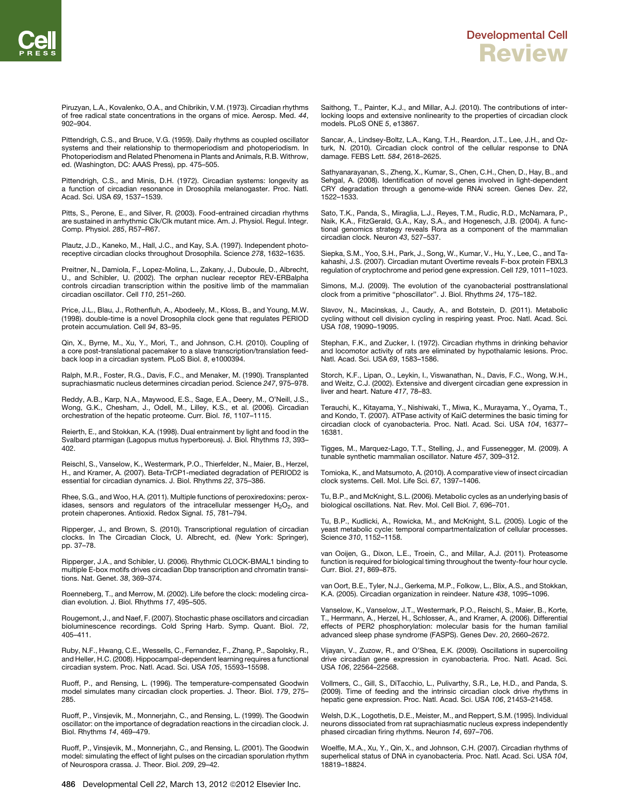<span id="page-9-0"></span>Piruzyan, L.A., Kovalenko, O.A., and Chibrikin, V.M. (1973). Circadian rhythms of free radical state concentrations in the organs of mice. Aerosp. Med. *44*, 902–904.

Pittendrigh, C.S., and Bruce, V.G. (1959). Daily rhythms as coupled oscillator systems and their relationship to thermoperiodism and photoperiodism. In Photoperiodism and Related Phenomena in Plants and Animals, R.B. Withrow, ed. (Washington, DC: AAAS Press), pp. 475–505.

Pittendrigh, C.S., and Minis, D.H. (1972). Circadian systems: longevity as a function of circadian resonance in Drosophila melanogaster. Proc. Natl. Acad. Sci. USA *69*, 1537–1539.

Pitts, S., Perone, E., and Silver, R. (2003). Food-entrained circadian rhythms are sustained in arrhythmic Clk/Clk mutant mice. Am. J. Physiol. Regul. Integr. Comp. Physiol. *285*, R57–R67.

Plautz, J.D., Kaneko, M., Hall, J.C., and Kay, S.A. (1997). Independent photoreceptive circadian clocks throughout Drosophila. Science *278*, 1632–1635.

Preitner, N., Damiola, F., Lopez-Molina, L., Zakany, J., Duboule, D., Albrecht, U., and Schibler, U. (2002). The orphan nuclear receptor REV-ERBalpha controls circadian transcription within the positive limb of the mammalian circadian oscillator. Cell *110*, 251–260.

Price, J.L., Blau, J., Rothenfluh, A., Abodeely, M., Kloss, B., and Young, M.W. (1998). double-time is a novel Drosophila clock gene that regulates PERIOD protein accumulation. Cell *94*, 83–95.

Qin, X., Byrne, M., Xu, Y., Mori, T., and Johnson, C.H. (2010). Coupling of a core post-translational pacemaker to a slave transcription/translation feedback loop in a circadian system. PLoS Biol. *8*, e1000394.

Ralph, M.R., Foster, R.G., Davis, F.C., and Menaker, M. (1990). Transplanted suprachiasmatic nucleus determines circadian period. Science *247*, 975–978.

Reddy, A.B., Karp, N.A., Maywood, E.S., Sage, E.A., Deery, M., O'Neill, J.S., Wong, G.K., Chesham, J., Odell, M., Lilley, K.S., et al. (2006). Circadian orchestration of the hepatic proteome. Curr. Biol. *16*, 1107–1115.

Reierth, E., and Stokkan, K.A. (1998). Dual entrainment by light and food in the Svalbard ptarmigan (Lagopus mutus hyperboreus). J. Biol. Rhythms *13*, 393– 402.

Reischl, S., Vanselow, K., Westermark, P.O., Thierfelder, N., Maier, B., Herzel, H., and Kramer, A. (2007). Beta-TrCP1-mediated degradation of PERIOD2 is essential for circadian dynamics. J. Biol. Rhythms *22*, 375–386.

Rhee, S.G., and Woo, H.A. (2011). Multiple functions of peroxiredoxins: peroxidases, sensors and regulators of the intracellular messenger  $H_2O_2$ , and protein chaperones. Antioxid. Redox Signal. *15*, 781–794.

Ripperger, J., and Brown, S. (2010). Transcriptional regulation of circadian clocks. In The Circadian Clock, U. Albrecht, ed. (New York: Springer), pp. 37–78.

Ripperger, J.A., and Schibler, U. (2006). Rhythmic CLOCK-BMAL1 binding to multiple E-box motifs drives circadian Dbp transcription and chromatin transitions. Nat. Genet. *38*, 369–374.

Roenneberg, T., and Merrow, M. (2002). Life before the clock: modeling circadian evolution. J. Biol. Rhythms *17*, 495–505.

Rougemont, J., and Naef, F. (2007). Stochastic phase oscillators and circadian bioluminescence recordings. Cold Spring Harb. Symp. Quant. Biol. *72*, 405–411.

Ruby, N.F., Hwang, C.E., Wessells, C., Fernandez, F., Zhang, P., Sapolsky, R., and Heller, H.C. (2008). Hippocampal-dependent learning requires a functional circadian system. Proc. Natl. Acad. Sci. USA *105*, 15593–15598.

Ruoff, P., and Rensing, L. (1996). The temperature-compensated Goodwin model simulates many circadian clock properties. J. Theor. Biol. *179*, 275– 285.

Ruoff, P., Vinsjevik, M., Monnerjahn, C., and Rensing, L. (1999). The Goodwin oscillator: on the importance of degradation reactions in the circadian clock. J. Biol. Rhythms *14*, 469–479.

Ruoff, P., Vinsjevik, M., Monnerjahn, C., and Rensing, L. (2001). The Goodwin model: simulating the effect of light pulses on the circadian sporulation rhythm of Neurospora crassa. J. Theor. Biol. *209*, 29–42.

486 Developmental Cell 22, March 13, 2012 © 2012 Elsevier Inc.

Saithong, T., Painter, K.J., and Millar, A.J. (2010). The contributions of interlocking loops and extensive nonlinearity to the properties of circadian clock models. PLoS ONE *5*, e13867.

Sancar, A., Lindsey-Boltz, L.A., Kang, T.H., Reardon, J.T., Lee, J.H., and Ozturk, N. (2010). Circadian clock control of the cellular response to DNA damage. FEBS Lett. *584*, 2618–2625.

Sathyanarayanan, S., Zheng, X., Kumar, S., Chen, C.H., Chen, D., Hay, B., and Sehgal, A. (2008). Identification of novel genes involved in light-dependent CRY degradation through a genome-wide RNAi screen. Genes Dev. *22*, 1522–1533.

Sato, T.K., Panda, S., Miraglia, L.J., Reyes, T.M., Rudic, R.D., McNamara, P., Naik, K.A., FitzGerald, G.A., Kay, S.A., and Hogenesch, J.B. (2004). A functional genomics strategy reveals Rora as a component of the mammalian circadian clock. Neuron *43*, 527–537.

Siepka, S.M., Yoo, S.H., Park, J., Song, W., Kumar, V., Hu, Y., Lee, C., and Takahashi, J.S. (2007). Circadian mutant Overtime reveals F-box protein FBXL3 regulation of cryptochrome and period gene expression. Cell *129*, 1011–1023.

Simons, M.J. (2009). The evolution of the cyanobacterial posttranslational clock from a primitive ''phoscillator''. J. Biol. Rhythms *24*, 175–182.

Slavov, N., Macinskas, J., Caudy, A., and Botstein, D. (2011). Metabolic cycling without cell division cycling in respiring yeast. Proc. Natl. Acad. Sci. USA *108*, 19090–19095.

Stephan, F.K., and Zucker, I. (1972). Circadian rhythms in drinking behavior and locomotor activity of rats are eliminated by hypothalamic lesions. Proc. Natl. Acad. Sci. USA *69*, 1583–1586.

Storch, K.F., Lipan, O., Leykin, I., Viswanathan, N., Davis, F.C., Wong, W.H., and Weitz, C.J. (2002). Extensive and divergent circadian gene expression in liver and heart. Nature *417*, 78–83.

Terauchi, K., Kitayama, Y., Nishiwaki, T., Miwa, K., Murayama, Y., Oyama, T., and Kondo, T. (2007). ATPase activity of KaiC determines the basic timing for circadian clock of cyanobacteria. Proc. Natl. Acad. Sci. USA *104*, 16377– 16381.

Tigges, M., Marquez-Lago, T.T., Stelling, J., and Fussenegger, M. (2009). A tunable synthetic mammalian oscillator. Nature *457*, 309–312.

Tomioka, K., and Matsumoto, A. (2010). A comparative view of insect circadian clock systems. Cell. Mol. Life Sci. *67*, 1397–1406.

Tu, B.P., and McKnight, S.L. (2006). Metabolic cycles as an underlying basis of biological oscillations. Nat. Rev. Mol. Cell Biol. *7*, 696–701.

Tu, B.P., Kudlicki, A., Rowicka, M., and McKnight, S.L. (2005). Logic of the yeast metabolic cycle: temporal compartmentalization of cellular processes. Science *310*, 1152–1158.

van Ooijen, G., Dixon, L.E., Troein, C., and Millar, A.J. (2011). Proteasome function is required for biological timing throughout the twenty-four hour cycle. Curr. Biol. *21*, 869–875.

van Oort, B.E., Tyler, N.J., Gerkema, M.P., Folkow, L., Blix, A.S., and Stokkan, K.A. (2005). Circadian organization in reindeer. Nature *438*, 1095–1096.

Vanselow, K., Vanselow, J.T., Westermark, P.O., Reischl, S., Maier, B., Korte, T., Herrmann, A., Herzel, H., Schlosser, A., and Kramer, A. (2006). Differential effects of PER2 phosphorylation: molecular basis for the human familial advanced sleep phase syndrome (FASPS). Genes Dev. *20*, 2660–2672.

Vijayan, V., Zuzow, R., and O'Shea, E.K. (2009). Oscillations in supercoiling drive circadian gene expression in cyanobacteria. Proc. Natl. Acad. Sci. USA *106*, 22564–22568.

Vollmers, C., Gill, S., DiTacchio, L., Pulivarthy, S.R., Le, H.D., and Panda, S. (2009). Time of feeding and the intrinsic circadian clock drive rhythms in hepatic gene expression. Proc. Natl. Acad. Sci. USA *106*, 21453–21458.

Welsh, D.K., Logothetis, D.E., Meister, M., and Reppert, S.M. (1995). Individual neurons dissociated from rat suprachiasmatic nucleus express independently phased circadian firing rhythms. Neuron *14*, 697–706.

Woelfle, M.A., Xu, Y., Qin, X., and Johnson, C.H. (2007). Circadian rhythms of superhelical status of DNA in cyanobacteria. Proc. Natl. Acad. Sci. USA *104*, 18819–18824.